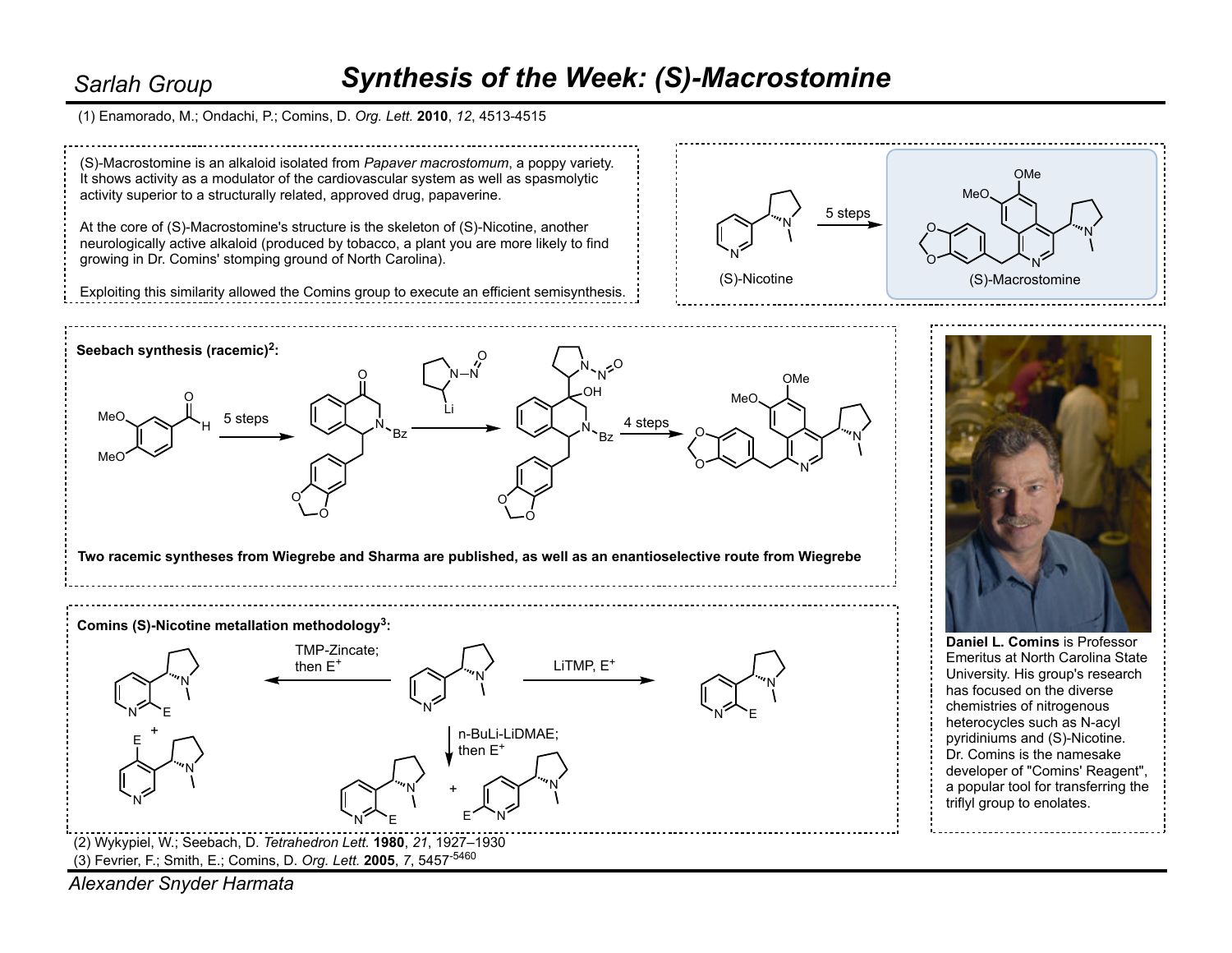## *Synthesis of the Week: (S)-Macrostomine*

(1) Enamorado, M.; Ondachi, P.; Comins, D. *Org. Lett.* **2010**, *12*, 4513-4515

*Sarlah Group*



*Alexander Snyder Harmata*